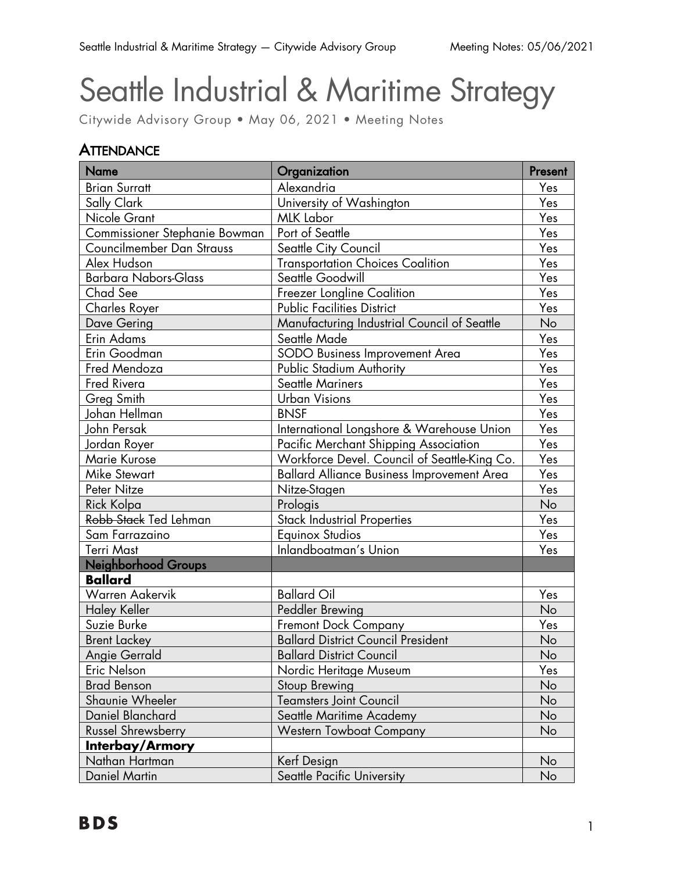# Seattle Industrial & Maritime Strategy

Citywide Advisory Group • May 06, 2021 • Meeting Notes

### **ATTENDANCE**

| <b>Name</b>                   | Organization                                 | Present |
|-------------------------------|----------------------------------------------|---------|
| <b>Brian Surratt</b>          | Alexandria                                   | Yes     |
| Sally Clark                   | University of Washington                     | Yes     |
| Nicole Grant                  | <b>MLK Labor</b>                             | Yes     |
| Commissioner Stephanie Bowman | Port of Seattle                              | Yes     |
| Councilmember Dan Strauss     | Seattle City Council                         | Yes     |
| Alex Hudson                   | <b>Transportation Choices Coalition</b>      | Yes     |
| <b>Barbara Nabors-Glass</b>   | Seattle Goodwill                             | Yes     |
| Chad See                      | Freezer Longline Coalition                   | Yes     |
| Charles Royer                 | <b>Public Facilities District</b>            | Yes     |
| Dave Gering                   | Manufacturing Industrial Council of Seattle  | No      |
| <b>Erin Adams</b>             | Seattle Made                                 | Yes     |
| Erin Goodman                  | SODO Business Improvement Area               | Yes     |
| Fred Mendoza                  | <b>Public Stadium Authority</b>              | Yes     |
| <b>Fred Rivera</b>            | <b>Seattle Mariners</b>                      | Yes     |
| <b>Greg Smith</b>             | <b>Urban Visions</b>                         | Yes     |
| Johan Hellman                 | <b>BNSF</b>                                  | Yes     |
| John Persak                   | International Longshore & Warehouse Union    | Yes     |
| Jordan Royer                  | Pacific Merchant Shipping Association        | Yes     |
| <b>Marie Kurose</b>           | Workforce Devel. Council of Seattle-King Co. | Yes     |
| <b>Mike Stewart</b>           | Ballard Alliance Business Improvement Area   | Yes     |
| Peter Nitze                   | Nitze-Stagen                                 | Yes     |
| Rick Kolpa                    | Prologis                                     | No      |
| Robb Stack Ted Lehman         | <b>Stack Industrial Properties</b>           | Yes     |
| Sam Farrazaino                | <b>Equinox Studios</b>                       | Yes     |
| <b>Terri Mast</b>             | Inlandboatman's Union                        | Yes     |
| <b>Neighborhood Groups</b>    |                                              |         |
| <b>Ballard</b>                |                                              |         |
| <b>Warren Aakervik</b>        | <b>Ballard Oil</b>                           | Yes     |
| <b>Haley Keller</b>           | Peddler Brewing                              | No      |
| Suzie Burke                   | <b>Fremont Dock Company</b>                  | Yes     |
| <b>Brent Lackey</b>           | <b>Ballard District Council President</b>    | No      |
| <b>Angie Gerrald</b>          | <b>Ballard District Council</b>              | No      |
| Eric Nelson                   | Nordic Heritage Museum                       | Yes     |
| <b>Brad Benson</b>            | Stoup Brewing                                | No      |
| Shaunie Wheeler               | <b>Teamsters Joint Council</b>               | No      |
| Daniel Blanchard              | Seattle Maritime Academy                     | No      |
| <b>Russel Shrewsberry</b>     | <b>Western Towboat Company</b>               | No      |
| Interbay/Armory               |                                              |         |
| Nathan Hartman                | Kerf Design                                  | No      |
| <b>Daniel Martin</b>          | Seattle Pacific University                   | No      |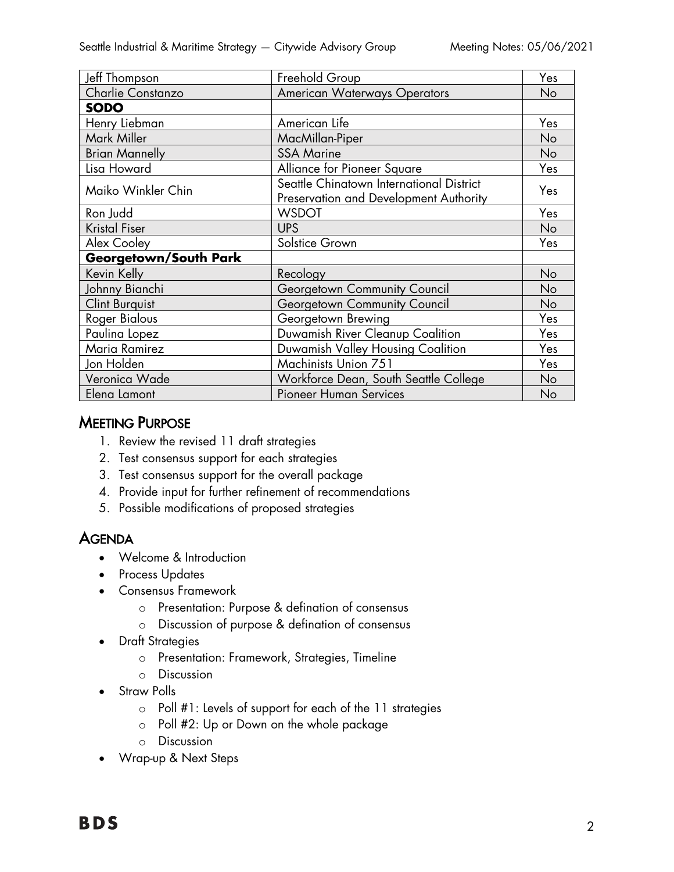| Jeff Thompson                | Freehold Group                                                                     | Yes |
|------------------------------|------------------------------------------------------------------------------------|-----|
| Charlie Constanzo            | <b>American Waterways Operators</b>                                                | No  |
| <b>SODO</b>                  |                                                                                    |     |
| Henry Liebman                | American Life                                                                      | Yes |
| Mark Miller                  | MacMillan-Piper                                                                    | No  |
| <b>Brian Mannelly</b>        | <b>SSA Marine</b>                                                                  | No  |
| Lisa Howard                  | Alliance for Pioneer Square                                                        | Yes |
| Maiko Winkler Chin           | Seattle Chinatown International District<br>Preservation and Development Authority | Yes |
| Ron Judd                     | <b>WSDOT</b>                                                                       | Yes |
| <b>Kristal Fiser</b>         | <b>UPS</b>                                                                         | No  |
| Alex Cooley                  | Solstice Grown                                                                     | Yes |
| <b>Georgetown/South Park</b> |                                                                                    |     |
| Kevin Kelly                  | Recology                                                                           | No  |
| Johnny Bianchi               | Georgetown Community Council                                                       | No  |
| <b>Clint Burguist</b>        | Georgetown Community Council                                                       | No  |
| <b>Roger Bialous</b>         | Georgetown Brewing                                                                 | Yes |
| Paulina Lopez                | Duwamish River Cleanup Coalition                                                   | Yes |
| Maria Ramirez                | Duwamish Valley Housing Coalition                                                  | Yes |
| Jon Holden                   | Machinists Union 751                                                               | Yes |
| Veronica Wade                | Workforce Dean, South Seattle College                                              | No  |
| Elena Lamont                 | <b>Pioneer Human Services</b>                                                      | No  |

#### **MEETING PURPOSE**

- 1. Review the revised 11 draft strategies
- 2. Test consensus support for each strategies
- 3. Test consensus support for the overall package
- 4. Provide input for further refinement of recommendations
- 5. Possible modifications of proposed strategies

#### **AGENDA**

- Welcome & Introduction
- Process Updates
- Consensus Framework
	- o Presentation: Purpose & defination of consensus
	- o Discussion of purpose & defination of consensus
- Draft Strategies
	- o Presentation: Framework, Strategies, Timeline
	- o Discussion
- Straw Polls
	- o Poll #1: Levels of support for each of the 11 strategies
	- o Poll #2: Up or Down on the whole package
	- o Discussion
- Wrap-up & Next Steps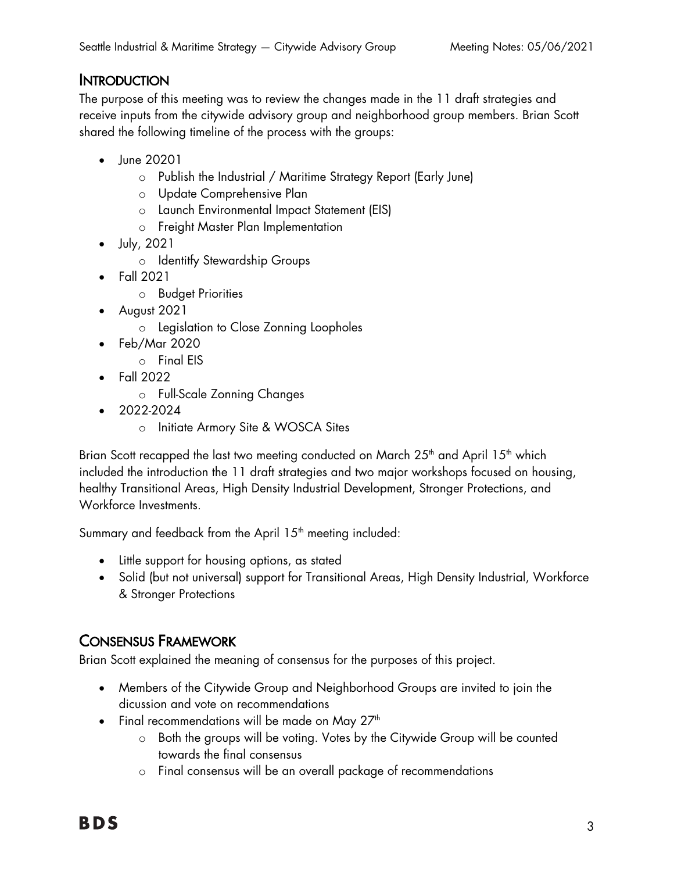#### **INTRODUCTION**

The purpose of this meeting was to review the changes made in the 11 draft strategies and receive inputs from the citywide advisory group and neighborhood group members. Brian Scott shared the following timeline of the process with the groups:

- June 20201
	- o Publish the Industrial / Maritime Strategy Report (Early June)
	- o Update Comprehensive Plan
	- o Launch Environmental Impact Statement (EIS)
	- o Freight Master Plan Implementation
- July, 2021
	- o Identitfy Stewardship Groups
- Fall 2021
	- o Budget Priorities
- August 2021
	- o Legislation to Close Zonning Loopholes
- Feb/Mar 2020
	- o Final EIS
- Fall 2022
	- o Full-Scale Zonning Changes
- 2022-2024
	- o Initiate Armory Site & WOSCA Sites

Brian Scott recapped the last two meeting conducted on March 25<sup>th</sup> and April 15<sup>th</sup> which included the introduction the 11 draft strategies and two major workshops focused on housing, healthy Transitional Areas, High Density Industrial Development, Stronger Protections, and Workforce Investments.

Summary and feedback from the April 15<sup>th</sup> meeting included:

- Little support for housing options, as stated
- Solid (but not universal) support for Transitional Areas, High Density Industrial, Workforce & Stronger Protections

#### CONSENSUS FRAMEWORK

Brian Scott explained the meaning of consensus for the purposes of this project.

- Members of the Citywide Group and Neighborhood Groups are invited to join the dicussion and vote on recommendations
- Final recommendations will be made on May  $27<sup>th</sup>$ 
	- o Both the groups will be voting. Votes by the Citywide Group will be counted towards the final consensus
	- o Final consensus will be an overall package of recommendations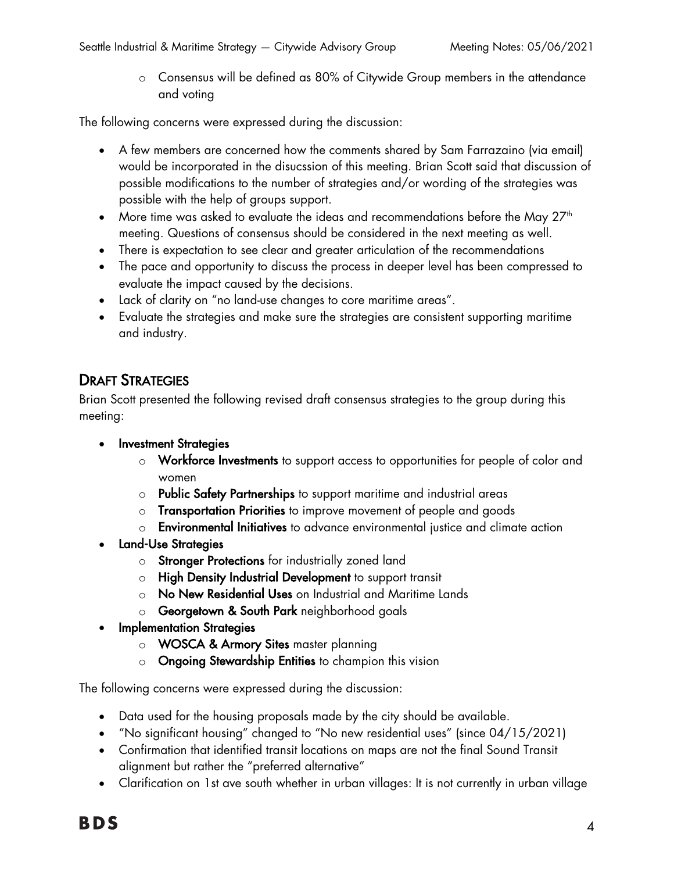o Consensus will be defined as 80% of Citywide Group members in the attendance and voting

The following concerns were expressed during the discussion:

- A few members are concerned how the comments shared by Sam Farrazaino (via email) would be incorporated in the disucssion of this meeting. Brian Scott said that discussion of possible modifications to the number of strategies and/or wording of the strategies was possible with the help of groups support.
- More time was asked to evaluate the ideas and recommendations before the May  $27<sup>th</sup>$ meeting. Questions of consensus should be considered in the next meeting as well.
- There is expectation to see clear and greater articulation of the recommendations
- The pace and opportunity to discuss the process in deeper level has been compressed to evaluate the impact caused by the decisions.
- Lack of clarity on "no land-use changes to core maritime areas".
- Evaluate the strategies and make sure the strategies are consistent supporting maritime and industry.

#### DRAFT STRATEGIES

Brian Scott presented the following revised draft consensus strategies to the group during this meeting:

- Investment Strategies
	- o Workforce Investments to support access to opportunities for people of color and women
	- o Public Safety Partnerships to support maritime and industrial areas
	- o Transportation Priorities to improve movement of people and goods
	- o Environmental Initiatives to advance environmental justice and climate action
- Land-Use Strategies
	- o Stronger Protections for industrially zoned land
	- o High Density Industrial Development to support transit
	- o No New Residential Uses on Industrial and Maritime Lands
	- o Georgetown & South Park neighborhood goals
- Implementation Strategies
	- o WOSCA & Armory Sites master planning
	- o Ongoing Stewardship Entities to champion this vision

The following concerns were expressed during the discussion:

- Data used for the housing proposals made by the city should be available.
- "No significant housing" changed to "No new residential uses" (since 04/15/2021)
- Confirmation that identified transit locations on maps are not the final Sound Transit alignment but rather the "preferred alternative"
- Clarification on 1st ave south whether in urban villages: It is not currently in urban village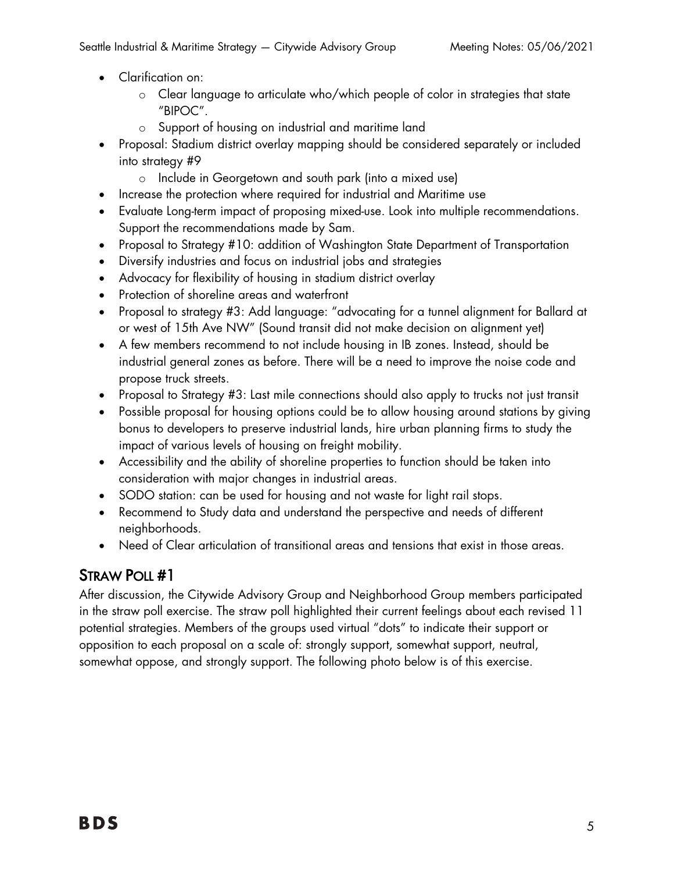- Clarification on:
	- o Clear language to articulate who/which people of color in strategies that state "BIPOC".
	- o Support of housing on industrial and maritime land
- Proposal: Stadium district overlay mapping should be considered separately or included into strategy #9
	- o Include in Georgetown and south park (into a mixed use)
- Increase the protection where required for industrial and Maritime use
- Evaluate Long-term impact of proposing mixed-use. Look into multiple recommendations. Support the recommendations made by Sam.
- Proposal to Strategy #10: addition of Washington State Department of Transportation
- Diversify industries and focus on industrial jobs and strategies
- Advocacy for flexibility of housing in stadium district overlay
- Protection of shoreline areas and waterfront
- Proposal to strategy #3: Add language: "advocating for a tunnel alignment for Ballard at or west of 15th Ave NW" (Sound transit did not make decision on alignment yet)
- A few members recommend to not include housing in IB zones. Instead, should be industrial general zones as before. There will be a need to improve the noise code and propose truck streets.
- Proposal to Strategy #3: Last mile connections should also apply to trucks not just transit
- Possible proposal for housing options could be to allow housing around stations by giving bonus to developers to preserve industrial lands, hire urban planning firms to study the impact of various levels of housing on freight mobility.
- Accessibility and the ability of shoreline properties to function should be taken into consideration with major changes in industrial areas.
- SODO station: can be used for housing and not waste for light rail stops.
- Recommend to Study data and understand the perspective and needs of different neighborhoods.
- Need of Clear articulation of transitional areas and tensions that exist in those areas.

## STRAW POLL #1

After discussion, the Citywide Advisory Group and Neighborhood Group members participated in the straw poll exercise. The straw poll highlighted their current feelings about each revised 11 potential strategies. Members of the groups used virtual "dots" to indicate their support or opposition to each proposal on a scale of: strongly support, somewhat support, neutral, somewhat oppose, and strongly support. The following photo below is of this exercise.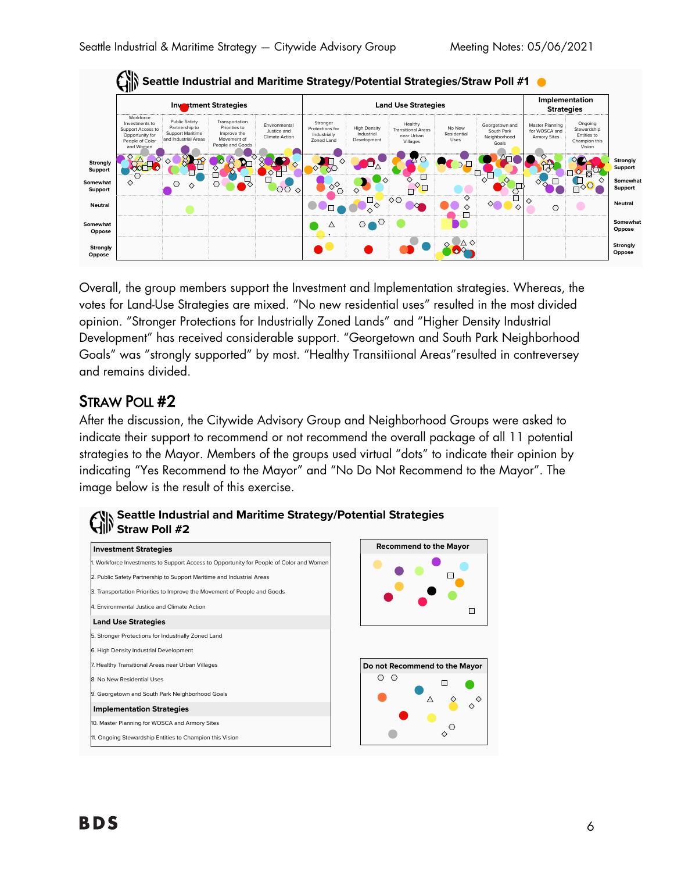

Overall, the group members support the Investment and Implementation strategies. Whereas, the  votes for Land-Use Strategies are mixed. "No new residential uses" resulted in the most divided opinion. "Stronger Protections for Industrially Zoned Lands" and "Higher Density Industrial ! Development" has received considerable support. "Georgetown and South Park Neighborhood Goals" was "strongly supported" by most. "Healthy Transitiional Areas"resulted in contreversey and remains divided. .., ...~  $\sim$ ,
 atall : 7 - a - d Lan d-4 - an d-4 Utal - b - a D - a e supp -- --
.- וווט

#### STRAW POLL #2

After the discussion, the Citywide Advisory Group and Neighborhood Groups were asked to indicate their support to recommend or not recommend the overall package of all 11 potential strategies to the Mayor. Members of the groups used virtual "dots" to indicate their opinion by indicating "Yes Recommend to the Mayor" and "No Do Not Recommend to the Mayor". The image below is the result of this exercise.



#### Seattle Industrial and Maritime Strategy/Potential Strategies  $\mathcal{A} \mathbb{R}$ Straw Poll #2